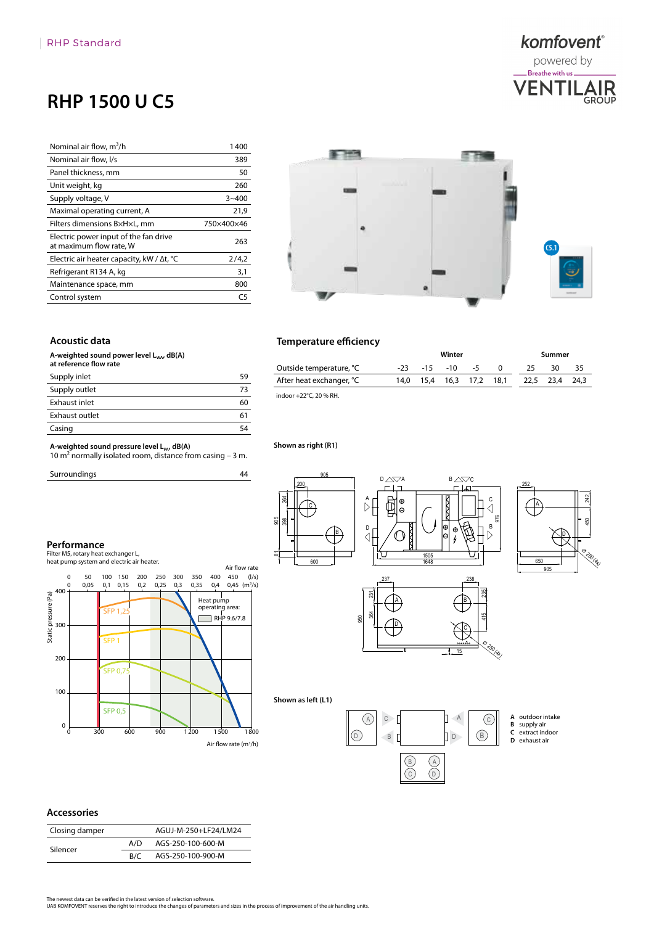## **RHP 1500 U C5**

| Nominal air flow, m <sup>3</sup> /h                              | 1400       |
|------------------------------------------------------------------|------------|
| Nominal air flow, I/s                                            | 389        |
| Panel thickness, mm                                              | 50         |
| Unit weight, kg                                                  | 260        |
| Supply voltage, V                                                | $3 - 400$  |
| Maximal operating current, A                                     | 21,9       |
| Filters dimensions BxHxL, mm                                     | 750×400×46 |
| Electric power input of the fan drive<br>at maximum flow rate, W | 263        |
| Electric air heater capacity, kW / $\Delta t$ , °C               | 2/4,2      |
| Refrigerant R134 A, kg                                           | 3,1        |
| Maintenance space, mm                                            | 800        |
| Control system                                                   | ٢5         |

# \$ 200 an a **C5.1**

komfovent® powered by .<br>Breathe with us <mark>.</mark> **VENTII** 

**AIR**<br>GROUP

#### **Acoustic data**

A-weighted sound power level L<sub>WA</sub>, dB(A) **at reference flow rate**

| Supply inlet   | 59 |
|----------------|----|
| Supply outlet  | 73 |
| Exhaust inlet  | 60 |
| Exhaust outlet | 61 |
| Casing         | 54 |

**A-weighted sound pressure level L<sub>PA</sub>, dB(A)**<br>10 m<sup>2</sup> normally isolated room, distance from casing – 3 m.

0 0,05 0,1 0,15 0,2 0,25 0,3 0,35 0 50 100 150 200 250 300 350 400 450

Filter M5, rotary heat exchanger L, heat pump system and electric air heater.

Surroundings

### **Temperature efficiency**

|                          | Winter |  |                     |  | Summer   |     |                |    |
|--------------------------|--------|--|---------------------|--|----------|-----|----------------|----|
| Outside temperature, °C  | -23    |  | $-15 - 10 - 5$      |  | $\Omega$ | 25. | 30             | 35 |
| After heat exchanger, °C | 14.0   |  | 15,4 16,3 17,2 18,1 |  |          |     | 22,5 23,4 24,3 |    |
| indoor +22°C, 20 % RH.   |        |  |                     |  |          |     |                |    |

#### **Shown as right (R1)**

44





**A** outdoor intake **B** supply air **C** extract indoor **D** exhaust air

io<br>(ୟୁ

15

#### **Accessories**

400

**Performance**

| Static pressure (Pa)<br>20<br>20<br>20                                                                                                                                                                                     | <b>SFP 1,25</b>       |     |                      | Heat pump<br>operating area: | RHP 9.6/7.8                       |  |                    | gg                              |
|----------------------------------------------------------------------------------------------------------------------------------------------------------------------------------------------------------------------------|-----------------------|-----|----------------------|------------------------------|-----------------------------------|--|--------------------|---------------------------------|
| 200                                                                                                                                                                                                                        | SFP <sub>1</sub>      |     |                      |                              |                                   |  |                    |                                 |
| 100                                                                                                                                                                                                                        | <b>SFP 0,75</b>       |     |                      |                              |                                   |  |                    |                                 |
| $\pmb{0}$<br>Ó                                                                                                                                                                                                             | <b>SFP 0,5</b><br>300 | 600 | 900                  | 1500<br>1200                 | 1800                              |  | Shown as left (L1) | $\left( \mathsf{A}\right)$<br>D |
|                                                                                                                                                                                                                            |                       |     |                      |                              | Air flow rate (m <sup>3</sup> /h) |  |                    |                                 |
|                                                                                                                                                                                                                            |                       |     |                      |                              |                                   |  |                    |                                 |
| <b>Accessories</b>                                                                                                                                                                                                         |                       |     |                      |                              |                                   |  |                    |                                 |
| Closing damper                                                                                                                                                                                                             |                       |     | AGUJ-M-250+LF24/LM24 |                              |                                   |  |                    |                                 |
| Silencer                                                                                                                                                                                                                   |                       | A/D | AGS-250-100-600-M    |                              |                                   |  |                    |                                 |
|                                                                                                                                                                                                                            |                       | B/C | AGS-250-100-900-M    |                              |                                   |  |                    |                                 |
| The newest data can be verified in the latest version of selection software.<br>UAB KOMFOVENT reserves the right to introduce the changes of parameters and sizes in the process of improvement of the air handling units. |                       |     |                      |                              |                                   |  |                    |                                 |

The newest data can be verified in the latest version of selection software.<br>UAB KOMFOVENT reserves the right to introduce the changes of parameters and sizes in the process of improvement of the air handling units.